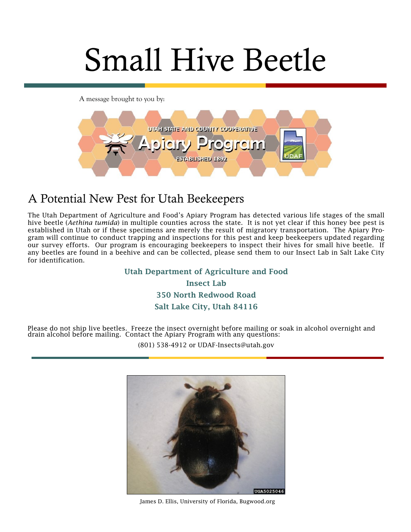# Small Hive Beetle

A message brought to you by:



# A Potential New Pest for Utah Beekeepers

The Utah Department of Agriculture and Food's Apiary Program has detected various life stages of the small hive beetle (*Aethina tumida*) in multiple counties across the state. It is not yet clear if this honey bee pest is established in Utah or if these specimens are merely the result of migratory transportation. The Apiary Program will continue to conduct trapping and inspections for this pest and keep beekeepers updated regarding our survey efforts. Our program is encouraging beekeepers to inspect their hives for small hive beetle. If any beetles are found in a beehive and can be collected, please send them to our Insect Lab in Salt Lake City for identification.

> **Utah Department of Agriculture and Food Insect Lab 350 North Redwood Road Salt Lake City, Utah 84116**

Please do not ship live beetles. Freeze the insect overnight before mailing or soak in alcohol overnight and drain alcohol before mailing. Contact the Apiary Program with any questions:

(801) 538-4912 or UDAF-Insects@utah.gov



James D. Ellis, University of Florida, Bugwood.org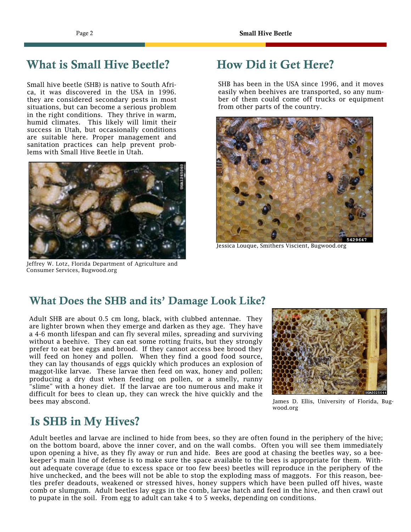# **What is Small Hive Beetle?**

Small hive beetle (SHB) is native to South Africa, it was discovered in the USA in 1996. they are considered secondary pests in most situations, but can become a serious problem in the right conditions. They thrive in warm, humid climates. This likely will limit their success in Utah, but occasionally conditions are suitable here. Proper management and sanitation practices can help prevent problems with Small Hive Beetle in Utah.



[Jeffrey W. Lotz, Florida Department of Agriculture and](https://www.forestryimages.org/browse/detail.cfm?imgnum=1265060#collapseseven)  [Consumer Services, Bugwood.org](https://www.forestryimages.org/browse/detail.cfm?imgnum=1265060#collapseseven)

# **How Did it Get Here?**

SHB has been in the USA since 1996, and it moves easily when beehives are transported, so any number of them could come off trucks or equipment from other parts of the country.



Jessica Louque, Smithers Viscient, Bugwood.org

### **What Does the SHB and its' Damage Look Like?**

Adult SHB are about 0.5 cm long, black, with clubbed antennae. They are lighter brown when they emerge and darken as they age. They have a 4-6 month lifespan and can fly several miles, spreading and surviving without a beehive. They can eat some rotting fruits, but they strongly prefer to eat bee eggs and brood. If they cannot access bee brood they will feed on honey and pollen. When they find a good food source, they can lay thousands of eggs quickly which produces an explosion of maggot-like larvae. These larvae then feed on wax, honey and pollen; producing a dry dust when feeding on pollen, or a smelly, runny "slime" with a honey diet. If the larvae are too numerous and make it difficult for bees to clean up, they can wreck the hive quickly and the bees may abscond.



James D. Ellis, University of Florida, Bugwood.org

## **Is SHB in My Hives?**

Adult beetles and larvae are inclined to hide from bees, so they are often found in the periphery of the hive; on the bottom board, above the inner cover, and on the wall combs. Often you will see them immediately upon opening a hive, as they fly away or run and hide. Bees are good at chasing the beetles way, so a beekeeper's main line of defense is to make sure the space available to the bees is appropriate for them. Without adequate coverage (due to excess space or too few bees) beetles will reproduce in the periphery of the hive unchecked, and the bees will not be able to stop the exploding mass of maggots. For this reason, beetles prefer deadouts, weakened or stressed hives, honey suppers which have been pulled off hives, waste comb or slumgum. Adult beetles lay eggs in the comb, larvae hatch and feed in the hive, and then crawl out to pupate in the soil. From egg to adult can take 4 to 5 weeks, depending on conditions.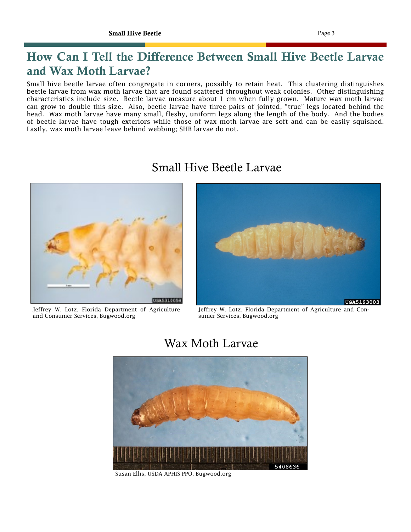# **How Can I Tell the Difference Between Small Hive Beetle Larvae and Wax Moth Larvae?**

Small hive beetle larvae often congregate in corners, possibly to retain heat. This clustering distinguishes beetle larvae from wax moth larvae that are found scattered throughout weak colonies. Other distinguishing characteristics include size. Beetle larvae measure about 1 cm when fully grown. Mature wax moth larvae can grow to double this size. Also, beetle larvae have three pairs of jointed, "true" legs located behind the head. Wax moth larvae have many small, fleshy, uniform legs along the length of the body. And the bodies of beetle larvae have tough exteriors while those of wax moth larvae are soft and can be easily squished. Lastly, wax moth larvae leave behind webbing; SHB larvae do not.

# Small Hive Beetle Larvae

[Jeffrey W. Lotz, Florida Department of Agriculture](https://www.forestryimages.org/browse/detail.cfm?imgnum=1265060#collapseseven)  [and Consumer Services, Bugwood.org](https://www.forestryimages.org/browse/detail.cfm?imgnum=1265060#collapseseven)



Jeffrey W. Lotz, Florida Department of Agriculture and Consumer Services, Bugwood.org

Wax Moth Larvae



[Susan Ellis, USDA APHIS PPQ, Bugwood.org](https://www.forestryimages.org/browse/detail.cfm?imgnum=5408636#collapseseven)